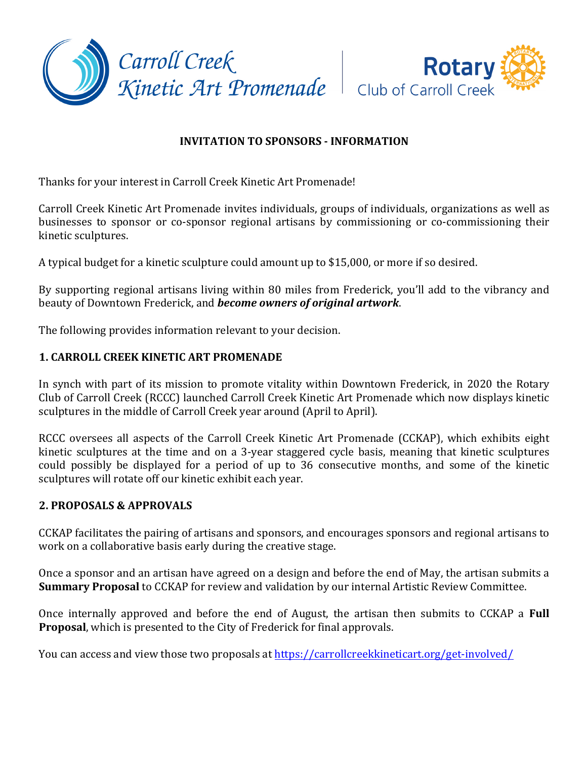



# **INVITATION TO SPONSORS - INFORMATION**

Thanks for your interest in Carroll Creek Kinetic Art Promenade!

Carroll Creek Kinetic Art Promenade invites individuals, groups of individuals, organizations as well as businesses to sponsor or co-sponsor regional artisans by commissioning or co-commissioning their kinetic sculptures.

A typical budget for a kinetic sculpture could amount up to \$15,000, or more if so desired.

By supporting regional artisans living within 80 miles from Frederick, you'll add to the vibrancy and beauty of Downtown Frederick, and **become owners of original artwork**.

The following provides information relevant to your decision.

## **1. CARROLL CREEK KINETIC ART PROMENADE**

In synch with part of its mission to promote vitality within Downtown Frederick, in 2020 the Rotary Club of Carroll Creek (RCCC) launched Carroll Creek Kinetic Art Promenade which now displays kinetic sculptures in the middle of Carroll Creek year around (April to April).

RCCC oversees all aspects of the Carroll Creek Kinetic Art Promenade (CCKAP), which exhibits eight kinetic sculptures at the time and on a 3-year staggered cycle basis, meaning that kinetic sculptures could possibly be displayed for a period of up to 36 consecutive months, and some of the kinetic sculptures will rotate off our kinetic exhibit each year.

### **2. PROPOSALS & APPROVALS**

CCKAP facilitates the pairing of artisans and sponsors, and encourages sponsors and regional artisans to work on a collaborative basis early during the creative stage.

Once a sponsor and an artisan have agreed on a design and before the end of May, the artisan submits a **Summary Proposal** to CCKAP for review and validation by our internal Artistic Review Committee.

Once internally approved and before the end of August, the artisan then submits to CCKAP a **Full Proposal**, which is presented to the City of Frederick for final approvals.

You can access and view those two proposals at https://carrollcreekkineticart.org/get-involved/